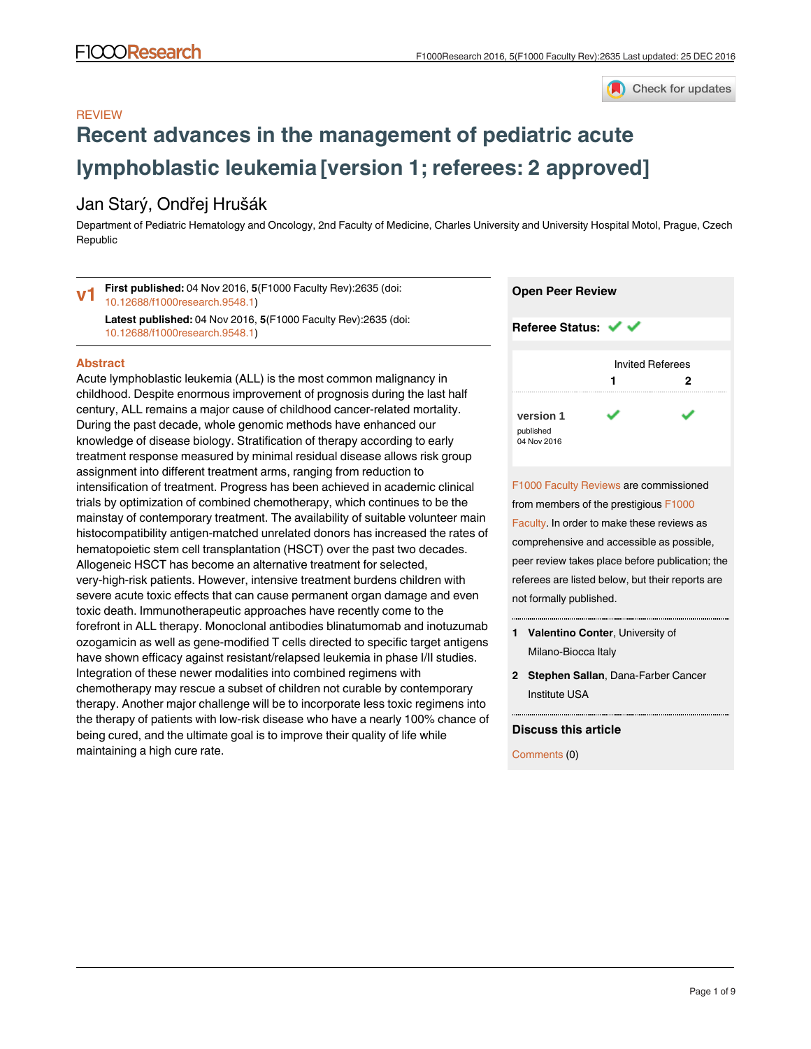

### **REVIEW**

# **[Recent advances in the management of pediatric acute](https://f1000research.com/articles/5-2635/v1) [lymphoblastic leukemia](https://f1000research.com/articles/5-2635/v1) [version 1; referees: 2 approved]**

## Jan Starý, Ondřej Hrušák

Department of Pediatric Hematology and Oncology, 2nd Faculty of Medicine, Charles University and University Hospital Motol, Prague, Czech Republic

**First published:** 04 Nov 2016, **5**(F1000 Faculty Rev):2635 (doi: [10.12688/f1000research.9548.1](http://dx.doi.org/10.12688/f1000research.9548.1)) **v1**

**Latest published:** 04 Nov 2016, **5**(F1000 Faculty Rev):2635 (doi: [10.12688/f1000research.9548.1](http://dx.doi.org/10.12688/f1000research.9548.1))

#### **Abstract**

Acute lymphoblastic leukemia (ALL) is the most common malignancy in childhood. Despite enormous improvement of prognosis during the last half century, ALL remains a major cause of childhood cancer-related mortality. During the past decade, whole genomic methods have enhanced our knowledge of disease biology. Stratification of therapy according to early treatment response measured by minimal residual disease allows risk group assignment into different treatment arms, ranging from reduction to intensification of treatment. Progress has been achieved in academic clinical trials by optimization of combined chemotherapy, which continues to be the mainstay of contemporary treatment. The availability of suitable volunteer main histocompatibility antigen-matched unrelated donors has increased the rates of hematopoietic stem cell transplantation (HSCT) over the past two decades. Allogeneic HSCT has become an alternative treatment for selected, very-high-risk patients. However, intensive treatment burdens children with severe acute toxic effects that can cause permanent organ damage and even toxic death. Immunotherapeutic approaches have recently come to the forefront in ALL therapy. Monoclonal antibodies blinatumomab and inotuzumab ozogamicin as well as gene-modified T cells directed to specific target antigens have shown efficacy against resistant/relapsed leukemia in phase I/II studies. Integration of these newer modalities into combined regimens with chemotherapy may rescue a subset of children not curable by contemporary therapy. Another major challenge will be to incorporate less toxic regimens into the therapy of patients with low-risk disease who have a nearly 100% chance of being cured, and the ultimate goal is to improve their quality of life while maintaining a high cure rate.



[F1000 Faculty Reviews](http://f1000research.com/channels/f1000-faculty-reviews/about-this-channel) are commissioned from members of the prestigious [F1000](http://f1000.com/prime/thefaculty) [Faculty](http://f1000.com/prime/thefaculty). In order to make these reviews as comprehensive and accessible as possible, peer review takes place before publication; the referees are listed below, but their reports are not formally published.

- **Valentino Conter**, University of **1** Milano-Biocca Italy
- **Stephen Sallan**, Dana-Farber Cancer **2** Institute USA

#### **Discuss this article**

Comments (0)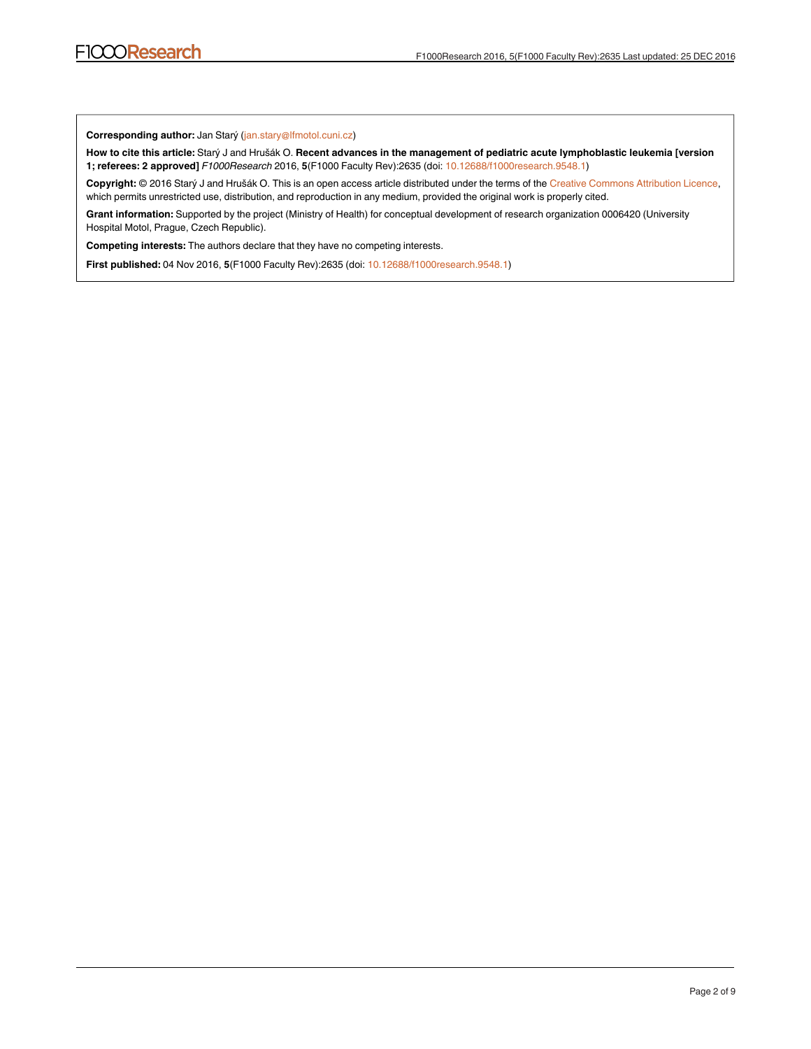**Corresponding author:** Jan Starý (jan.stary@lfmotol.cuni.cz)

**How to cite this article:** Starý J and Hrušák O. **Recent advances in the management of pediatric acute lymphoblastic leukemia [version 1; referees: 2 approved]** *F1000Research* 2016, **5**(F1000 Faculty Rev):2635 (doi: [10.12688/f1000research.9548.1\)](http://dx.doi.org/10.12688/f1000research.9548.1)

**Copyright:** © 2016 Starý J and Hrušák O. This is an open access article distributed under the terms of the [Creative Commons Attribution Licence](http://creativecommons.org/licenses/by/4.0/), which permits unrestricted use, distribution, and reproduction in any medium, provided the original work is properly cited.

**Grant information:** Supported by the project (Ministry of Health) for conceptual development of research organization 0006420 (University Hospital Motol, Prague, Czech Republic).

**Competing interests:** The authors declare that they have no competing interests.

**First published:** 04 Nov 2016, **5**(F1000 Faculty Rev):2635 (doi: [10.12688/f1000research.9548.1\)](http://dx.doi.org/10.12688/f1000research.9548.1)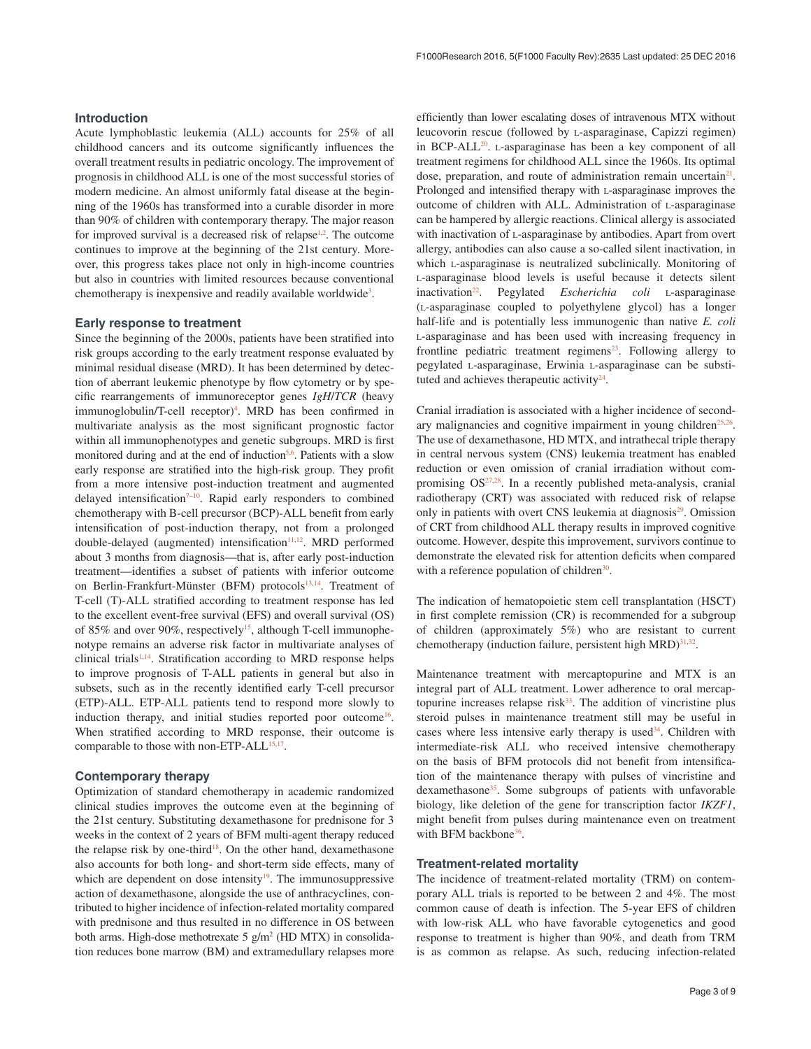#### **Introduction**

Acute lymphoblastic leukemia (ALL) accounts for 25% of all childhood cancers and its outcome significantly influences the overall treatment results in pediatric oncology. The improvement of prognosis in childhood ALL is one of the most successful stories of modern medicine. An almost uniformly fatal disease at the beginning of the 1960s has transformed into a curable disorder in more than 90% of children with contemporary therapy. The major reason for improved survival is a decreased risk of relapse<sup>[1,2](#page-5-0)</sup>. The outcome continues to improve at the beginning of the 21st century. Moreover, this progress takes place not only in high-income countries but also in countries with limited resources because conventional chemotherapy is inexpensive and readily available worldwide<sup>3</sup>.

#### **Early response to treatment**

Since the beginning of the 2000s, patients have been stratified into risk groups according to the early treatment response evaluated by minimal residual disease (MRD). It has been determined by detection of aberrant leukemic phenotype by flow cytometry or by specific rearrangements of immunoreceptor genes *IgH*/*TCR* (heavy immunoglobulin/T-cell receptor)<sup>[4](#page-5-0)</sup>. MRD has been confirmed in multivariate analysis as the most significant prognostic factor within all immunophenotypes and genetic subgroups. MRD is first monitored during and at the end of induction<sup>[5,6](#page-5-0)</sup>. Patients with a slow early response are stratified into the high-risk group. They profit from a more intensive post-induction treatment and augmented delayed intensification<sup> $7-10$ </sup>. Rapid early responders to combined chemotherapy with B-cell precursor (BCP)-ALL benefit from early intensification of post-induction therapy, not from a prolonged double-delayed (augmented) intensification $11,12$ . MRD performed about 3 months from diagnosis—that is, after early post-induction treatment—identifies a subset of patients with inferior outcome on Berlin-Frankfurt-Münster (BFM) protocols<sup>13,14</sup>. Treatment of T-cell (T)-ALL stratified according to treatment response has led to the excellent event-free survival (EFS) and overall survival (OS) of 85% and over 90%, respectively<sup>15</sup>, although T-cell immunophenotype remains an adverse risk factor in multivariate analyses of clinical trials $1,14$ . Stratification according to MRD response helps to improve prognosis of T-ALL patients in general but also in subsets, such as in the recently identified early T-cell precursor (ETP)-ALL. ETP-ALL patients tend to respond more slowly to induction therapy, and initial studies reported poor outcome<sup>16</sup>. When stratified according to MRD response, their outcome is comparable to those with non-ETP-ALL<sup>[15,17](#page-5-0)</sup>.

#### **Contemporary therapy**

Optimization of standard chemotherapy in academic randomized clinical studies improves the outcome even at the beginning of the 21st century. Substituting dexamethasone for prednisone for 3 weeks in the context of 2 years of BFM multi-agent therapy reduced the relapse risk by one-third<sup>18</sup>. On the other hand, dexamethasone also accounts for both long- and short-term side effects, many of which are dependent on dose intensity $19$ . The immunosuppressive action of dexamethasone, alongside the use of anthracyclines, contributed to higher incidence of infection-related mortality compared with prednisone and thus resulted in no difference in OS between both arms. High-dose methotrexate 5 g/m<sup>2</sup> (HD MTX) in consolidation reduces bone marrow (BM) and extramedullary relapses more

efficiently than lower escalating doses of intravenous MTX without leucovorin rescue (followed by l-asparaginase, Capizzi regimen) in BCP-ALL $^{20}$  $^{20}$  $^{20}$ . L-asparaginase has been a key component of all treatment regimens for childhood ALL since the 1960s. Its optimal dose, preparation, and route of administration remain uncertain<sup>21</sup>. Prolonged and intensified therapy with L-asparaginase improves the outcome of children with ALL. Administration of L-asparaginase can be hampered by allergic reactions. Clinical allergy is associated with inactivation of L-asparaginase by antibodies. Apart from overt allergy, antibodies can also cause a so-called silent inactivation, in which l-asparaginase is neutralized subclinically. Monitoring of l-asparaginase blood levels is useful because it detects silent inactivation<sup>22</sup>. Pegylated *Escherichia coli* L-asparaginase (l-asparaginase coupled to polyethylene glycol) has a longer half-life and is potentially less immunogenic than native *E. coli* l-asparaginase and has been used with increasing frequency in frontline pediatric treatment regimens<sup>[23](#page-5-0)</sup>. Following allergy to pegylated l-asparaginase, Erwinia l-asparaginase can be substituted and achieves therapeutic activity $24$ .

Cranial irradiation is associated with a higher incidence of second-ary malignancies and cognitive impairment in young children<sup>[25,26](#page-6-0)</sup>. The use of dexamethasone, HD MTX, and intrathecal triple therapy in central nervous system (CNS) leukemia treatment has enabled reduction or even omission of cranial irradiation without compromising  $OS^{27,28}$  $OS^{27,28}$  $OS^{27,28}$ . In a recently published meta-analysis, cranial radiotherapy (CRT) was associated with reduced risk of relapse only in patients with overt CNS leukemia at diagnosis<sup>29</sup>. Omission of CRT from childhood ALL therapy results in improved cognitive outcome. However, despite this improvement, survivors continue to demonstrate the elevated risk for attention deficits when compared with a reference population of children $30$ .

The indication of hematopoietic stem cell transplantation (HSCT) in first complete remission (CR) is recommended for a subgroup of children (approximately 5%) who are resistant to current chemotherapy (induction failure, persistent high MRD) $31,32$ .

Maintenance treatment with mercaptopurine and MTX is an integral part of ALL treatment. Lower adherence to oral mercaptopurine increases relapse risk $33$ . The addition of vincristine plus steroid pulses in maintenance treatment still may be useful in cases where less intensive early therapy is used<sup>34</sup>. Children with intermediate-risk ALL who received intensive chemotherapy on the basis of BFM protocols did not benefit from intensification of the maintenance therapy with pulses of vincristine and dexamethasone<sup>[35](#page-6-0)</sup>. Some subgroups of patients with unfavorable biology, like deletion of the gene for transcription factor *IKZF1*, might benefit from pulses during maintenance even on treatment with BFM backbone<sup>36</sup>.

#### **Treatment-related mortality**

The incidence of treatment-related mortality (TRM) on contemporary ALL trials is reported to be between 2 and 4%. The most common cause of death is infection. The 5-year EFS of children with low-risk ALL who have favorable cytogenetics and good response to treatment is higher than 90%, and death from TRM is as common as relapse. As such, reducing infection-related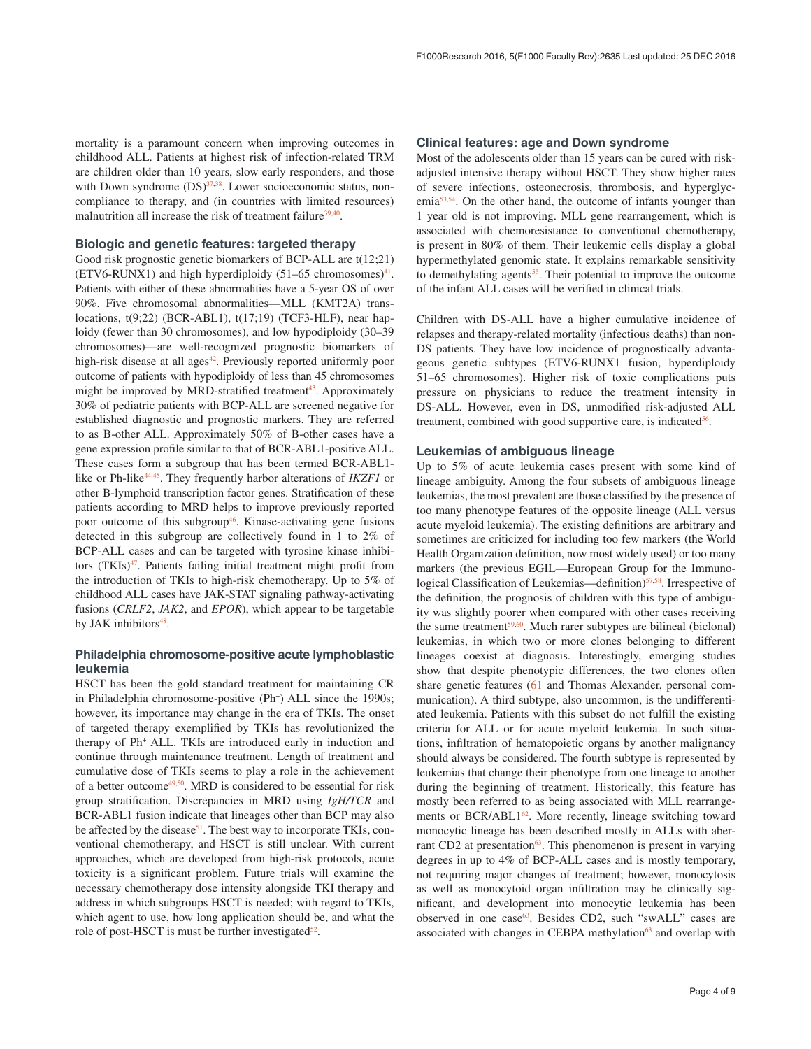mortality is a paramount concern when improving outcomes in childhood ALL. Patients at highest risk of infection-related TRM are children older than 10 years, slow early responders, and those with Down syndrome  $(DS)^{37,38}$ . Lower socioeconomic status, noncompliance to therapy, and (in countries with limited resources) malnutrition all increase the risk of treatment failure<sup>39,40</sup>.

#### **Biologic and genetic features: targeted therapy**

Good risk prognostic genetic biomarkers of BCP-ALL are t(12;21) (ETV6-RUNX1) and high hyperdiploidy  $(51-65 \text{ chromosomes})^{41}$ . Patients with either of these abnormalities have a 5-year OS of over 90%. Five chromosomal abnormalities—MLL (KMT2A) translocations, t(9;22) (BCR-ABL1), t(17;19) (TCF3-HLF), near haploidy (fewer than 30 chromosomes), and low hypodiploidy (30–39 chromosomes)—are well-recognized prognostic biomarkers of high-risk disease at all ages<sup>42</sup>. Previously reported uniformly poor outcome of patients with hypodiploidy of less than 45 chromosomes might be improved by MRD-stratified treatment<sup>43</sup>. Approximately 30% of pediatric patients with BCP-ALL are screened negative for established diagnostic and prognostic markers. They are referred to as B-other ALL. Approximately 50% of B-other cases have a gene expression profile similar to that of BCR-ABL1-positive ALL. These cases form a subgroup that has been termed BCR-ABL1 like or Ph-like<sup>44,45</sup>. They frequently harbor alterations of *IKZF1* or other B-lymphoid transcription factor genes. Stratification of these patients according to MRD helps to improve previously reported poor outcome of this subgroup<sup>[46](#page-6-0)</sup>. Kinase-activating gene fusions detected in this subgroup are collectively found in 1 to 2% of BCP-ALL cases and can be targeted with tyrosine kinase inhibitors (TKIs)<sup>47</sup>. Patients failing initial treatment might profit from the introduction of TKIs to high-risk chemotherapy. Up to 5% of childhood ALL cases have JAK-STAT signaling pathway-activating fusions (*CRLF2*, *JAK2*, and *EPOR*), which appear to be targetable by JAK inhibitors<sup>48</sup>.

### **Philadelphia chromosome-positive acute lymphoblastic leukemia**

HSCT has been the gold standard treatment for maintaining CR in Philadelphia chromosome-positive (Ph<sup>+</sup>) ALL since the 1990s; however, its importance may change in the era of TKIs. The onset of targeted therapy exemplified by TKIs has revolutionized the therapy of Ph+ ALL. TKIs are introduced early in induction and continue through maintenance treatment. Length of treatment and cumulative dose of TKIs seems to play a role in the achievement of a better outcome<sup>49,50</sup>. MRD is considered to be essential for risk group stratification. Discrepancies in MRD using *IgH/TCR* and BCR-ABL1 fusion indicate that lineages other than BCP may also be affected by the disease<sup>51</sup>. The best way to incorporate TKIs, conventional chemotherapy, and HSCT is still unclear. With current approaches, which are developed from high-risk protocols, acute toxicity is a significant problem. Future trials will examine the necessary chemotherapy dose intensity alongside TKI therapy and address in which subgroups HSCT is needed; with regard to TKIs, which agent to use, how long application should be, and what the role of post-HSCT is must be further investigated $52$ .

#### **Clinical features: age and Down syndrome**

Most of the adolescents older than 15 years can be cured with riskadjusted intensive therapy without HSCT. They show higher rates of severe infections, osteonecrosis, thrombosis, and hyperglycemi[a53,54.](#page-6-0) On the other hand, the outcome of infants younger than 1 year old is not improving. MLL gene rearrangement, which is associated with chemoresistance to conventional chemotherapy, is present in 80% of them. Their leukemic cells display a global hypermethylated genomic state. It explains remarkable sensitivity to demethylating agents<sup>55</sup>. Their potential to improve the outcome of the infant ALL cases will be verified in clinical trials.

Children with DS-ALL have a higher cumulative incidence of relapses and therapy-related mortality (infectious deaths) than non-DS patients. They have low incidence of prognostically advantageous genetic subtypes (ETV6-RUNX1 fusion, hyperdiploidy 51–65 chromosomes). Higher risk of toxic complications puts pressure on physicians to reduce the treatment intensity in DS-ALL. However, even in DS, unmodified risk-adjusted ALL treatment, combined with good supportive care, is indicated<sup>56</sup>.

#### **Leukemias of ambiguous lineage**

Up to 5% of acute leukemia cases present with some kind of lineage ambiguity. Among the four subsets of ambiguous lineage leukemias, the most prevalent are those classified by the presence of too many phenotype features of the opposite lineage (ALL versus acute myeloid leukemia). The existing definitions are arbitrary and sometimes are criticized for including too few markers (the World Health Organization definition, now most widely used) or too many markers (the previous EGIL—European Group for the Immunological Classification of Leukemias—definition)<sup>57,58</sup>. Irrespective of the definition, the prognosis of children with this type of ambiguity was slightly poorer when compared with other cases receiving the same treatment $59,60$ . Much rarer subtypes are bilineal (biclonal) leukemias, in which two or more clones belonging to different lineages coexist at diagnosis. Interestingly, emerging studies show that despite phenotypic differences, the two clones often share genetic features ([61](#page-6-0) and Thomas Alexander, personal communication). A third subtype, also uncommon, is the undifferentiated leukemia. Patients with this subset do not fulfill the existing criteria for ALL or for acute myeloid leukemia. In such situations, infiltration of hematopoietic organs by another malignancy should always be considered. The fourth subtype is represented by leukemias that change their phenotype from one lineage to another during the beginning of treatment. Historically, this feature has mostly been referred to as being associated with MLL rearrange-ments or BCR/ABL1<sup>[62](#page-7-0)</sup>. More recently, lineage switching toward monocytic lineage has been described mostly in ALLs with aber-rant CD2 at presentation<sup>[63](#page-7-0)</sup>. This phenomenon is present in varying degrees in up to 4% of BCP-ALL cases and is mostly temporary, not requiring major changes of treatment; however, monocytosis as well as monocytoid organ infiltration may be clinically significant, and development into monocytic leukemia has been observed in one case<sup>63</sup>. Besides CD2, such "swALL" cases are associated with changes in CEBPA methylation<sup>63</sup> and overlap with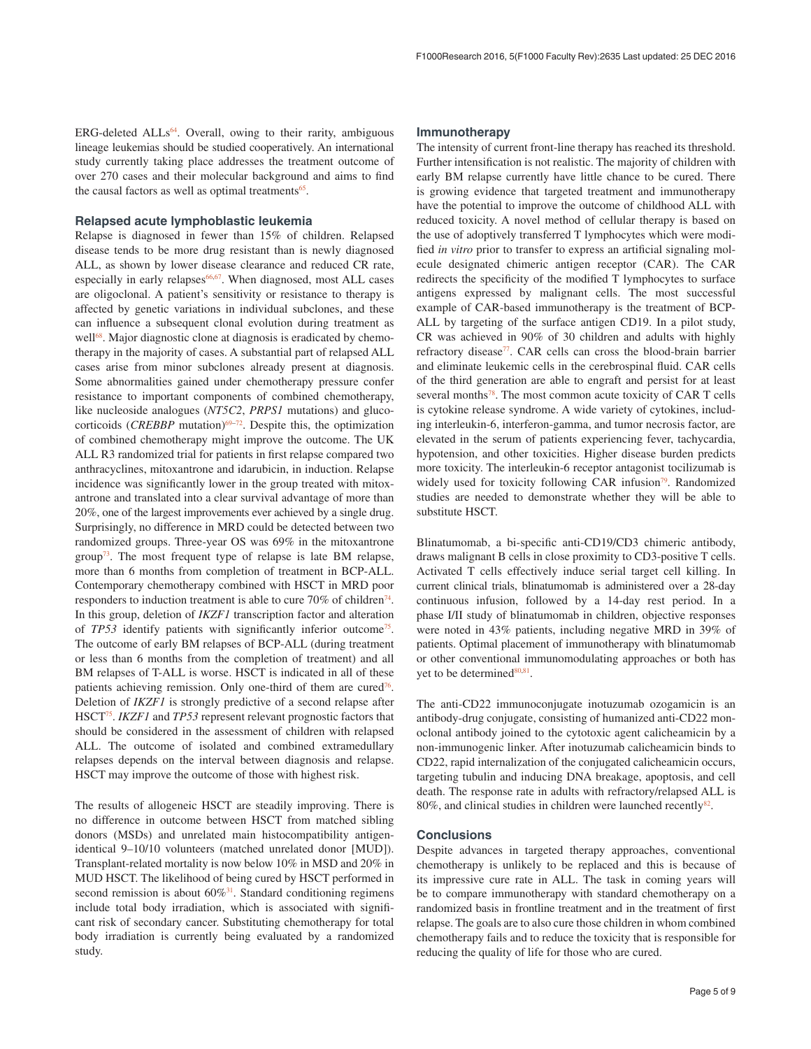$ERG$ -deleted  $ALLs<sup>64</sup>$ . Overall, owing to their rarity, ambiguous lineage leukemias should be studied cooperatively. An international study currently taking place addresses the treatment outcome of over 270 cases and their molecular background and aims to find the causal factors as well as optimal treatments $65$ .

#### **Relapsed acute lymphoblastic leukemia**

Relapse is diagnosed in fewer than 15% of children. Relapsed disease tends to be more drug resistant than is newly diagnosed ALL, as shown by lower disease clearance and reduced CR rate, especially in early relapses<sup>66,67</sup>. When diagnosed, most ALL cases are oligoclonal. A patient's sensitivity or resistance to therapy is affected by genetic variations in individual subclones, and these can influence a subsequent clonal evolution during treatment as well<sup>68</sup>. Major diagnostic clone at diagnosis is eradicated by chemotherapy in the majority of cases. A substantial part of relapsed ALL cases arise from minor subclones already present at diagnosis. Some abnormalities gained under chemotherapy pressure confer resistance to important components of combined chemotherapy, like nucleoside analogues (*NT5C2*, *PRPS1* mutations) and glucocorticoids (*CREBBP* mutation)<sup>69–72</sup>. Despite this, the optimization of combined chemotherapy might improve the outcome. The UK ALL R3 randomized trial for patients in first relapse compared two anthracyclines, mitoxantrone and idarubicin, in induction. Relapse incidence was significantly lower in the group treated with mitoxantrone and translated into a clear survival advantage of more than 20%, one of the largest improvements ever achieved by a single drug. Surprisingly, no difference in MRD could be detected between two randomized groups. Three-year OS was 69% in the mitoxantrone group<sup>73</sup>. The most frequent type of relapse is late BM relapse, more than 6 months from completion of treatment in BCP-ALL. Contemporary chemotherapy combined with HSCT in MRD poor responders to induction treatment is able to cure  $70\%$  of children<sup>74</sup>. In this group, deletion of *IKZF1* transcription factor and alteration of *TP53* identify patients with significantly inferior outcom[e75](#page-7-0). The outcome of early BM relapses of BCP-ALL (during treatment or less than 6 months from the completion of treatment) and all BM relapses of T-ALL is worse. HSCT is indicated in all of these patients achieving remission. Only one-third of them are cured<sup>76</sup>. Deletion of *IKZF1* is strongly predictive of a second relapse after HSCT[75.](#page-7-0) *IKZF1* and *TP53* represent relevant prognostic factors that should be considered in the assessment of children with relapsed ALL. The outcome of isolated and combined extramedullary relapses depends on the interval between diagnosis and relapse. HSCT may improve the outcome of those with highest risk.

The results of allogeneic HSCT are steadily improving. There is no difference in outcome between HSCT from matched sibling donors (MSDs) and unrelated main histocompatibility antigenidentical 9–10/10 volunteers (matched unrelated donor [MUD]). Transplant-related mortality is now below 10% in MSD and 20% in MUD HSCT. The likelihood of being cured by HSCT performed in second remission is about  $60\%$ <sup>[31](#page-6-0)</sup>. Standard conditioning regimens include total body irradiation, which is associated with significant risk of secondary cancer. Substituting chemotherapy for total body irradiation is currently being evaluated by a randomized study.

#### **Immunotherapy**

The intensity of current front-line therapy has reached its threshold. Further intensification is not realistic. The majority of children with early BM relapse currently have little chance to be cured. There is growing evidence that targeted treatment and immunotherapy have the potential to improve the outcome of childhood ALL with reduced toxicity. A novel method of cellular therapy is based on the use of adoptively transferred T lymphocytes which were modified *in vitro* prior to transfer to express an artificial signaling molecule designated chimeric antigen receptor (CAR). The CAR redirects the specificity of the modified T lymphocytes to surface antigens expressed by malignant cells. The most successful example of CAR-based immunotherapy is the treatment of BCP-ALL by targeting of the surface antigen CD19. In a pilot study, CR was achieved in 90% of 30 children and adults with highly refractory disease<sup>77</sup>. CAR cells can cross the blood-brain barrier and eliminate leukemic cells in the cerebrospinal fluid. CAR cells of the third generation are able to engraft and persist for at least several months<sup>78</sup>. The most common acute toxicity of CAR T cells is cytokine release syndrome. A wide variety of cytokines, including interleukin-6, interferon-gamma, and tumor necrosis factor, are elevated in the serum of patients experiencing fever, tachycardia, hypotension, and other toxicities. Higher disease burden predicts more toxicity. The interleukin-6 receptor antagonist tocilizumab is widely used for toxicity following CAR infusion<sup>[79](#page-7-0)</sup>. Randomized studies are needed to demonstrate whether they will be able to substitute HSCT.

Blinatumomab, a bi-specific anti-CD19/CD3 chimeric antibody, draws malignant B cells in close proximity to CD3-positive T cells. Activated T cells effectively induce serial target cell killing. In current clinical trials, blinatumomab is administered over a 28-day continuous infusion, followed by a 14-day rest period. In a phase I/II study of blinatumomab in children, objective responses were noted in 43% patients, including negative MRD in 39% of patients. Optimal placement of immunotherapy with blinatumomab or other conventional immunomodulating approaches or both has yet to be determined $80,81$ .

The anti-CD22 immunoconjugate inotuzumab ozogamicin is an antibody-drug conjugate, consisting of humanized anti-CD22 monoclonal antibody joined to the cytotoxic agent calicheamicin by a non-immunogenic linker. After inotuzumab calicheamicin binds to CD22, rapid internalization of the conjugated calicheamicin occurs, targeting tubulin and inducing DNA breakage, apoptosis, and cell death. The response rate in adults with refractory/relapsed ALL is 80%, and clinical studies in children were launched recently $82$ .

#### **Conclusions**

Despite advances in targeted therapy approaches, conventional chemotherapy is unlikely to be replaced and this is because of its impressive cure rate in ALL. The task in coming years will be to compare immunotherapy with standard chemotherapy on a randomized basis in frontline treatment and in the treatment of first relapse. The goals are to also cure those children in whom combined chemotherapy fails and to reduce the toxicity that is responsible for reducing the quality of life for those who are cured.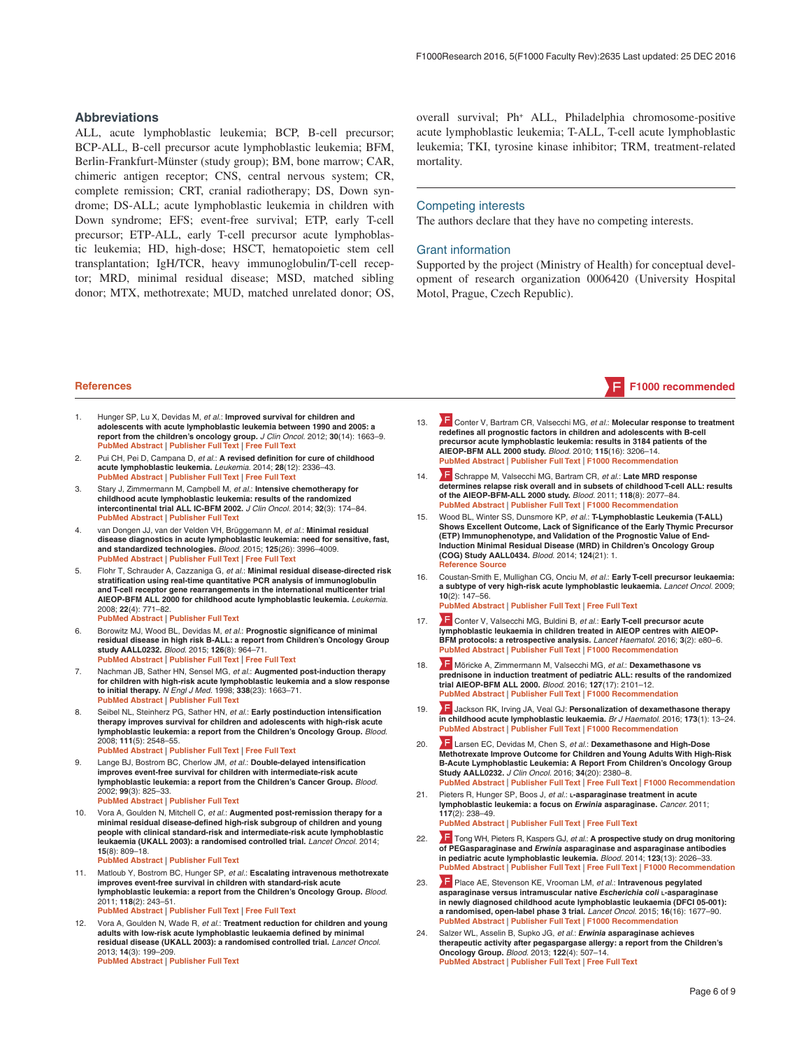#### <span id="page-5-0"></span>**Abbreviations**

ALL, acute lymphoblastic leukemia; BCP, B-cell precursor; BCP-ALL, B-cell precursor acute lymphoblastic leukemia; BFM, Berlin-Frankfurt-Münster (study group); BM, bone marrow; CAR, chimeric antigen receptor; CNS, central nervous system; CR, complete remission; CRT, cranial radiotherapy; DS, Down syndrome; DS-ALL; acute lymphoblastic leukemia in children with Down syndrome; EFS; event-free survival; ETP, early T-cell precursor; ETP-ALL, early T-cell precursor acute lymphoblastic leukemia; HD, high-dose; HSCT, hematopoietic stem cell transplantation; IgH/TCR, heavy immunoglobulin/T-cell receptor; MRD, minimal residual disease; MSD, matched sibling donor; MTX, methotrexate; MUD, matched unrelated donor; OS,

overall survival; Ph+ ALL, Philadelphia chromosome-positive acute lymphoblastic leukemia; T-ALL, T-cell acute lymphoblastic leukemia; TKI, tyrosine kinase inhibitor; TRM, treatment-related mortality.

#### Competing interests

The authors declare that they have no competing interests.

#### Grant information

Supported by the project (Ministry of Health) for conceptual development of research organization 0006420 (University Hospital Motol, Prague, Czech Republic).

- 1. Hunger SP, Lu X, Devidas M, *et al.*: **Improved survival for children and adolescents with acute lymphoblastic leukemia between 1990 and 2005: a report from the children's oncology group.** *J Clin Oncol.* 2012; **30**(14): 1663–9. **[PubMed Abstract](http://www.ncbi.nlm.nih.gov/pubmed/22412151)** | **[Publisher Full Text](http://dx.doi.org/10.1200/JCO.2011.37.8018)** | **[Free Full Text](http://www.ncbi.nlm.nih.gov/pmc/articles/3383113)**
- Pui CH, Pei D, Campana D, et al.: A revised definition for cure of childhood **acute lymphoblastic leukemia.** *Leukemia.* 2014; **28**(12): 2336–43. **[PubMed Abstract](http://www.ncbi.nlm.nih.gov/pubmed/24781017)** | **[Publisher Full Text](http://dx.doi.org/10.1038/leu.2014.142)** | **[Free Full Text](http://www.ncbi.nlm.nih.gov/pmc/articles/4214904)**
- 3. Stary J, Zimmermann M, Campbell M, *et al.*: **Intensive chemotherapy for childhood acute lymphoblastic leukemia: results of the randomized intercontinental trial ALL IC-BFM 2002.** *J Clin Oncol.* 2014; **32**(3): 174–84. **[PubMed Abstract](http://www.ncbi.nlm.nih.gov/pubmed/24344215)** | **[Publisher Full Text](http://dx.doi.org/10.1200/JCO.2013.48.6522)**
- 4. van Dongen JJ, van der Velden VH, Brüggemann M, *et al.*: **Minimal residual disease diagnostics in acute lymphoblastic leukemia: need for sensitive, fast, and standardized technologies.** *Blood.* 2015; **125**(26): 3996–4009. **[PubMed Abstract](http://www.ncbi.nlm.nih.gov/pubmed/25999452)** | **[Publisher Full Text](http://dx.doi.org/10.1182/blood-2015-03-580027)** | **[Free Full Text](http://www.ncbi.nlm.nih.gov/pmc/articles/4490298)**
- 5. Flohr T, Schrauder A, Cazzaniga G, *et al.*: **Minimal residual disease-directed risk stratification using real-time quantitative PCR analysis of immunoglobulin and T-cell receptor gene rearrangements in the international multicenter trial AIEOP-BFM ALL 2000 for childhood acute lymphoblastic leukemia.** *Leukemia.* 2008; **22**(4): 771–82. **[PubMed Abstract](http://www.ncbi.nlm.nih.gov/pubmed/18239620)** | **[Publisher Full Text](http://dx.doi.org/10.1038/leu.2008.5)**
- 6. Borowitz MJ, Wood BL, Devidas M, *et al.*: **Prognostic significance of minimal residual disease in high risk B-ALL: a report from Children's Oncology Group study AALL0232.** *Blood.* 2015; **126**(8): 964–71. **[PubMed Abstract](http://www.ncbi.nlm.nih.gov/pubmed/26124497)** | **[Publisher Full Text](http://dx.doi.org/10.1182/blood-2015-03-633685)** | **[Free Full Text](http://www.ncbi.nlm.nih.gov/pmc/articles/4543229)**
- 7. Nachman JB, Sather HN, Sensel MG, *et al.*: **Augmented post-induction therapy for children with high-risk acute lymphoblastic leukemia and a slow response to initial therapy.** *N Engl J Med.* 1998; **338**(23): 1663–71. **[PubMed Abstract](http://www.ncbi.nlm.nih.gov/pubmed/9614257)** | **[Publisher Full Text](http://dx.doi.org/10.1056/NEJM199806043382304)**
- 8. Seibel NL, Steinherz PG, Sather HN, *et al.*: **Early postinduction intensification therapy improves survival for children and adolescents with high-risk acute lymphoblastic leukemia: a report from the Children's Oncology Group.** *Blood.* 2008; **111**(5): 2548–55. **[PubMed Abstract](http://www.ncbi.nlm.nih.gov/pubmed/18039957)** | **[Publisher Full Text](http://dx.doi.org/10.1182/blood-2007-02-070342)** | **[Free Full Text](http://www.ncbi.nlm.nih.gov/pmc/articles/2254538)**
- 9. Lange BJ, Bostrom BC, Cherlow JM, *et al.*: **Double-delayed intensification improves event-free survival for children with intermediate-risk acute lymphoblastic leukemia: a report from the Children's Cancer Group.** *Blood.* 2002; **99**(3): 825–33. **[PubMed Abstract](http://www.ncbi.nlm.nih.gov/pubmed/11806983)** | **[Publisher Full Text](http://dx.doi.org/10.1182/blood.V99.3.825)**
- 10. Vora A, Goulden N, Mitchell C, *et al.*: **Augmented post-remission therapy for a minimal residual disease-defined high-risk subgroup of children and young people with clinical standard-risk and intermediate-risk acute lymphoblastic leukaemia (UKALL 2003): a randomised controlled trial.** *Lancet Oncol.* 2014; **15**(8): 809–18. **[PubMed Abstract](http://www.ncbi.nlm.nih.gov/pubmed/24924991)** | **[Publisher Full Text](http://dx.doi.org/10.1016/S1470-2045(14)70243-8)**

11. Matloub Y, Bostrom BC, Hunger SP, *et al.*: **Escalating intravenous methotrexate improves event-free survival in children with standard-risk acute lymphoblastic leukemia: a report from the Children's Oncology Group.** *Blood.* 2011; **118**(2): 243–51. **[PubMed Abstract](http://www.ncbi.nlm.nih.gov/pubmed/21562038)** | **[Publisher Full Text](http://dx.doi.org/10.1182/blood-2010-12-322909)** | **[Free Full Text](http://www.ncbi.nlm.nih.gov/pmc/articles/3138679)**

12. Vora A, Goulden N, Wade R, *et al.*: **Treatment reduction for children and young adults with low-risk acute lymphoblastic leukaemia defined by minimal residual disease (UKALL 2003): a randomised controlled trial.** *Lancet Oncol.* 2013; **14**(3): 199–209. **[PubMed Abstract](http://www.ncbi.nlm.nih.gov/pubmed/23395119)** | **[Publisher Full Text](http://dx.doi.org/10.1016/S1470-2045(12)70600-9)**

- 13. **Conter V, Bartram [C](http://f1000.com/prime/3070956)R, Valsecchi MG,** *et al.***: Molecular response to treatment redefines all prognostic factors in children and adolescents with B-cell precursor acute lymphoblastic leukemia: results in 3184 patients of the AIEOP-BFM ALL 2000 study.** *Blood.* 2010; **115**(16): 3206–14. **[PubMed Abstract](http://www.ncbi.nlm.nih.gov/pubmed/20154213)** | **[Publisher Full Text](http://dx.doi.org/10.1182/blood-2009-10-248146)** | **[F1000 Recommendation](http://f1000.com/prime/3070956)**
- 14. **F** [S](http://f1000.com/prime/12599960)chrappe M, Valsecchi MG, Bartram CR, *et al.*: Late MRD response **determines relapse risk overall and in subsets of childhood T-cell ALL: results of the AIEOP-BFM-ALL 2000 study.** *Blood.* 2011; **118**(8): 2077–84. **[PubMed Abstract](http://www.ncbi.nlm.nih.gov/pubmed/21719599)** | **[Publisher Full Text](http://dx.doi.org/10.1182/blood-2011-03-338707)** | **[F1000 Recommendation](http://f1000.com/prime/12599960)**
- 15. Wood BL, Winter SS, Dunsmore KP, *et al.*: **T-Lymphoblastic Leukemia (T-ALL) Shows Excellent Outcome, Lack of Significance of the Early Thymic Precursor (ETP) Immunophenotype, and Validation of the Prognostic Value of End-Induction Minimal Residual Disease (MRD) in Children's Oncology Group (COG) Study AALL0434.** *Blood.* 2014; **124**(21): 1. **[Reference Source](http://www.bloodjournal.org/content/124/21/1)**
- 16. Coustan-Smith E, Mullighan CG, Onciu M, *et al.*: **Early T-cell precursor leukaemia: a subtype of very high-risk acute lymphoblastic leukaemia.** *Lancet Oncol.* 2009; **10**(2): 147–56. **[PubMed Abstract](http://www.ncbi.nlm.nih.gov/pubmed/19147408)** | **[Publisher Full Text](http://dx.doi.org/10.1016/S1470-2045(08)70314-0)** | **[Free Full Text](http://www.ncbi.nlm.nih.gov/pmc/articles/2840241)**
	-
- 17. **F** [C](http://f1000.com/prime/726145512)onter V, Valsecchi MG, Buldini B, *et al.*: **Early T-cell precursor acute lymphoblastic leukaemia in children treated in AIEOP centres with AIEOP-BFM protocols: a retrospective analysis.** *Lancet Haematol.* 2016; **3**(2): e80–6. **[PubMed Abstract](http://www.ncbi.nlm.nih.gov/pubmed/26853647)** | **[Publisher Full Text](http://dx.doi.org/10.1016/S2352-3026(15)00254-9)** | **[F1000 Recommendation](http://f1000.com/prime/726145512)**
- 18. [M](http://f1000.com/prime/726155612)öricke A, Zimmermann M, Valsecchi MG, *et al.*: **Dexamethasone vs prednisone in induction treatment of pediatric ALL: results of the randomized trial AIEOP-BFM ALL 2000.** *Blood.* 2016; **127**(17): 2101–12. **[PubMed Abstract](http://www.ncbi.nlm.nih.gov/pubmed/26888258)** | **[Publisher Full Text](http://dx.doi.org/10.1182/blood-2015-09-670729)** | **[F1000 Recommendation](http://f1000.com/prime/726155612)**
- 19. [J](http://f1000.com/prime/726056554)ackson RK, Irving JA, Veal GJ: **Personalization of dexamethasone therapy in childhood acute lymphoblastic leukaemia.** *Br J Haematol.* 2016; **173**(1): 13–24. **[PubMed Abstract](http://www.ncbi.nlm.nih.gov/pubmed/26729065)** | **[Publisher Full Text](http://dx.doi.org/10.1111/bjh.13924)** | **[F1000 Recommendation](http://f1000.com/prime/726056554)**
- 20. [L](http://f1000.com/prime/726313869)arsen EC, Devidas M, Chen S, *et al.*: **Dexamethasone and High-Dose Methotrexate Improve Outcome for Children and Young Adults With High-Risk B-Acute Lymphoblastic Leukemia: A Report From Children's Oncology Group Study AALL0232.** *J Clin Oncol.* 2016; **34**(20): 2380–8. **[PubMed Abstract](http://www.ncbi.nlm.nih.gov/pubmed/27114587)** | **[Publisher Full Text](http://dx.doi.org/10.1200/JCO.2015.62.4544)** | **[Free Full Text](http://www.ncbi.nlm.nih.gov/pmc/articles/4981974)** | **[F1000 Recommendation](http://f1000.com/prime/726313869)**
- 21. Pieters R, Hunger SP, Boos J, *et al.*: **l-asparaginase treatment in acute lymphoblastic leukemia: a focus on** *Erwinia* **asparaginase.** *Cancer.* 2011; **117**(2): 238–49. **[PubMed Abstract](http://www.ncbi.nlm.nih.gov/pubmed/20824725)** | **[Publisher Full Text](http://dx.doi.org/10.1002/cncr.25489)** | **[Free Full Text](http://www.ncbi.nlm.nih.gov/pmc/articles/3000881)**
- 22. [T](http://f1000.com/prime/718246819)ong WH, Pieters R, Kaspers GJ, *et al.*: **A prospective study on drug monitoring of PEGasparaginase and** *Erwinia* **asparaginase and asparaginase antibodies in pediatric acute lymphoblastic leukemia.** *Blood.* 2014; **123**(13): 2026–33. **[PubMed Abstract](http://www.ncbi.nlm.nih.gov/pubmed/24449211)** | **[Publisher Full Text](http://dx.doi.org/10.1182/blood-2013-10-534347)** | **[Free Full Text](http://www.ncbi.nlm.nih.gov/pmc/articles/3968389)** | **[F1000 Recommendation](http://f1000.com/prime/718246819)**
- 23. [P](http://f1000.com/prime/725924636)lace AE, Stevenson KE, Vrooman LM, *et al.*: **Intravenous pegylated asparaginase versus intramuscular native** *Escherichia coli* **l-asparaginase in newly diagnosed childhood acute lymphoblastic leukaemia (DFCI 05-001): a randomised, open-label phase 3 trial.** *Lancet Oncol.* 2015; **16**(16): 1677–90. **[PubMed Abstract](http://www.ncbi.nlm.nih.gov/pubmed/26549586)** | **[Publisher Full Text](http://dx.doi.org/10.1016/S1470-2045(15)00363-0)** | **[F1000 Recommendation](http://f1000.com/prime/725924636)**
- 24. Salzer WL, Asselin B, Supko JG, *et al.*: *Erwinia* **asparaginase achieves therapeutic activity after pegaspargase allergy: a report from the Children's Oncology Group.** *Blood.* 2013; **122**(4): 507–14. **[PubMed Abstract](http://www.ncbi.nlm.nih.gov/pubmed/23741010)** | **[Publisher Full Text](http://dx.doi.org/10.1182/blood-2013-01-480822)** | **[Free Full Text](http://www.ncbi.nlm.nih.gov/pmc/articles/3724190)**

### **References F1000 recommended**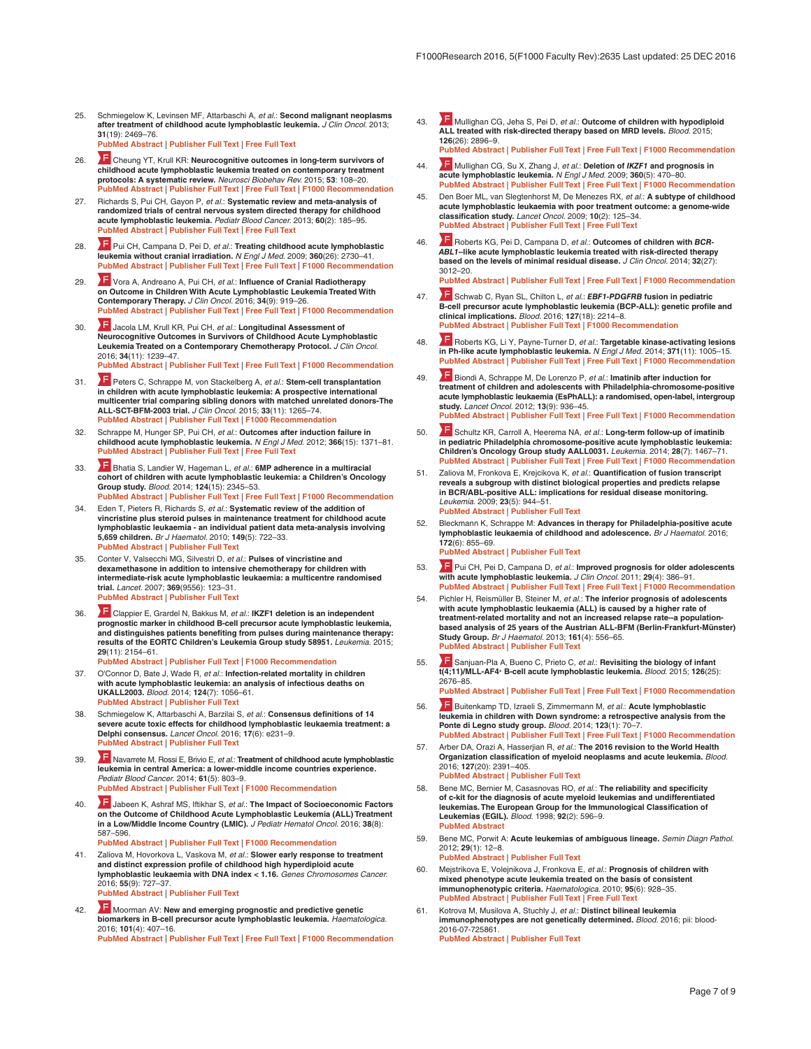- <span id="page-6-0"></span>25. Schmiegelow K, Levinsen MF, Attarbaschi A, *et al.*: **Second malignant neoplasms after treatment of childhood acute lymphoblastic leukemia.** *J Clin Oncol.* 2013; **31**(19): 2469–76. **[PubMed Abstract](http://www.ncbi.nlm.nih.gov/pubmed/23690411)** | **[Publisher Full Text](http://dx.doi.org/10.1200/JCO.2012.47.0500)** | **[Free Full Text](http://www.ncbi.nlm.nih.gov/pmc/articles/3807139)**
- 26. [C](http://f1000.com/prime/725430339)heung YT, Krull KR: **Neurocognitive outcomes in long-term survivors of childhood acute lymphoblastic leukemia treated on contemporary treatment protocols: A systematic review.** *Neurosci Biobehav Rev.* 2015; **53**: 108–20. **PubLishers In PubLisher Full Text** | **[Free Full Text](http://www.ncbi.nlm.nih.gov/pmc/articles/4425605)** | **F1000 Recommendation**
- 27. Richards S, Pui CH, Gayon P, *et al.*: **Systematic review and meta-analysis of randomized trials of central nervous system directed therapy for childhood acute lymphoblastic leukemia.** *Pediatr Blood Cancer.* 2013; **60**(2): 185–95. **[PubMed Abstract](http://www.ncbi.nlm.nih.gov/pubmed/22693038)** | **[Publisher Full Text](http://dx.doi.org/10.1002/pbc.24228)** | **[Free Full Text](http://www.ncbi.nlm.nih.gov/pmc/articles/3461084)**
- 28. [P](http://f1000.com/prime/1161525)ui CH, Campana D, Pei D, *et al.*: **Treating childhood acute lymphoblastic leukemia without cranial irradiation.** *N Engl J Med.* 2009; **360**(26): 2730–41. **[PubMed Abstract](http://www.ncbi.nlm.nih.gov/pubmed/19553647) | [Publisher Full Text](http://dx.doi.org/10.1056/NEJMoa0900386) | [Free Full Text](http://www.ncbi.nlm.nih.gov/pmc/articles/2754320) | F1000 Reco**
- 29. [V](http://f1000.com/prime/726070164)ora A, Andreano A, Pui CH, *et al.*: **Influence of Cranial Radiotherapy on Outcome in Children With Acute Lymphoblastic Leukemia Treated With Contemporary Therapy.** *J Clin Oncol.* 2016; **34**(9): 919–26. **[PubMed Abstract](http://www.ncbi.nlm.nih.gov/pubmed/26755523)** | **[Publisher Full Text](http://dx.doi.org/10.1200/JCO.2015.64.2850)** | **[Free Full Text](http://www.ncbi.nlm.nih.gov/pmc/articles/4871998)** | **[F1000 Recommendation](http://f1000.com/prime/726070164)**
- 30. [J](http://f1000.com/prime/726132009)acola LM, Krull KR, Pui CH, *et al.*: **Longitudinal Assessment of Neurocognitive Outcomes in Survivors of Childhood Acute Lymphoblastic Leukemia Treated on a Contemporary Chemotherapy Protocol.** *J Clin Oncol.* 2016; **34**(11): 1239–47. **[PubMed Abstract](http://www.ncbi.nlm.nih.gov/pubmed/26858334)** | **[Publisher Full Text](http://dx.doi.org/10.1200/JCO.2015.64.3205)** | **[Free Full Text](http://www.ncbi.nlm.nih.gov/pmc/articles/4872325)** | **[F1000 Recommendation](http://f1000.com/prime/726132009)**
- 31. [P](http://f1000.com/prime/725383833)eters C, Schrappe M, von Stackelberg A, *et al.*: **Stem-cell transplantation in children with acute lymphoblastic leukemia: A prospective international multicenter trial comparing sibling donors with matched unrelated donors-The ALL-SCT-BFM-2003 trial.** *J Clin Oncol.* 2015; **33**(11): 1265–74. **[PubMed Abstract](http://www.ncbi.nlm.nih.gov/pubmed/25753432)** | **[Publisher Full Text](http://dx.doi.org/10.1200/JCO.2014.58.9747)** | **[F1000 Recommendation](http://f1000.com/prime/725383833)**
- 32. Schrappe M, Hunger SP, Pui CH, *et al.*: **Outcomes after induction failure in childhood acute lymphoblastic leukemia.** *N Engl J Med.* 2012; **366**(15): 1371–81. **[PubMed Abstract](http://www.ncbi.nlm.nih.gov/pubmed/22494120)** | **[Publisher Full Text](http://dx.doi.org/10.1056/NEJMoa1110169)** | **[Free Full Text](http://www.ncbi.nlm.nih.gov/pmc/articles/3374496)**
- 33. [B](http://f1000.com/prime/718386892)hatia S, Landier W, Hageman L, *et al.*: **6MP adherence in a multiracial cohort of children with acute lymphoblastic leukemia: a Children's Oncology Group study.** *Blood.* 2014; **124**(15): 2345–53. **[PubMed Abstract](http://www.ncbi.nlm.nih.gov/pubmed/24829202)** | **[Publisher Full Text](http://dx.doi.org/10.1182/blood-2014-01-552166)** | **[Free Full Text](http://www.ncbi.nlm.nih.gov/pmc/articles/4192748)** | **[F1000 Recommendation](http://f1000.com/prime/718386892)**
- 34. Eden T, Pieters R, Richards S, *et al.*: **Systematic review of the addition of vincristine plus steroid pulses in maintenance treatment for childhood acute lymphoblastic leukaemia - an individual patient data meta-analysis involving 5,659 children.** *Br J Haematol.* 2010; **149**(5): 722–33. **[PubMed Abstract](http://www.ncbi.nlm.nih.gov/pubmed/20331462)** | **[Publisher Full Text](http://dx.doi.org/10.1111/j.1365-2141.2010.08148.x)**
- 35. Conter V, Valsecchi MG, Silvestri D, *et al.*: **Pulses of vincristine and dexamethasone in addition to intensive chemotherapy for children with intermediate-risk acute lymphoblastic leukaemia: a multicentre randomised trial.** *Lancet.* 2007; **369**(9556): 123–31. **[PubMed Abstract](http://www.ncbi.nlm.nih.gov/pubmed/17223475)** | **[Publisher Full Text](http://dx.doi.org/10.1016/S0140-6736(07)60073-7)**
- 36. **Clappier E, Grardel N, Bakkus M,** *et al.***: IKZF1 deletion is an independent <br><b>prognostic marker in childhood B-cell precursor acute lymphoblastic leukemia, and distinguishes patients benefiting from pulses during maintenance therapy: results of the EORTC Children's Leukemia Group study 58951.** *Leukemia.* 2015; **29**(11): 2154–61.
- **[PubMed Abstract](http://www.ncbi.nlm.nih.gov/pubmed/26050650)** | **[Publisher Full Text](http://dx.doi.org/10.1038/leu.2015.134)** | **[F1000 Recommendation](http://f1000.com/prime/725540965)**
- 37. O'Connor D, Bate J, Wade R, *et al.*: **Infection-related mortality in children with acute lymphoblastic leukemia: an analysis of infectious deaths on UKALL2003.** *Blood.* 2014; **124**(7): 1056–61. **[PubMed Abstract](http://www.ncbi.nlm.nih.gov/pubmed/24904116)** | **[Publisher Full Text](http://dx.doi.org/10.1182/blood-2014-03-560847)**
- 38. Schmiegelow K, Attarbaschi A, Barzilai S, *et al.*: **Consensus definitions of 14 severe acute toxic effects for childhood lymphoblastic leukaemia treatment: a Delphi consensus.** *Lancet Oncol.* 2016; **17**(6): e231–9. **[PubMed Abstract](http://www.ncbi.nlm.nih.gov/pubmed/27299279)** | **[Publisher Full Text](http://dx.doi.org/10.1016/S1470-2045(16)30035-3)**
- 39. [N](http://f1000.com/prime/718220091)avarrete M, Rossi E, Brivio E, *et al.*: **Treatment of childhood acute lymphoblastic leukemia in central America: a lower-middle income countries experience.** *Pediatr Blood Cancer.* 2014; **61**(5): 803–9. **[PubMed Abstract](http://www.ncbi.nlm.nih.gov/pubmed/24376115)** | **[Publisher Full Text](http://dx.doi.org/10.1002/pbc.24911)** | **[F1000 Recommendation](http://f1000.com/prime/718220091)**
- 40. [J](http://f1000.com/prime/726889687)abeen K, Ashraf MS, Iftikhar S, *et al.*: **The Impact of Socioeconomic Factors on the Outcome of Childhood Acute Lymphoblastic Leukemia (ALL) Treatment in a Low/Middle Income Country (LMIC).** *J Pediatr Hematol Oncol.* 2016; **38**(8): 587–596.
	- **[PubMed Abstract](http://www.ncbi.nlm.nih.gov/pubmed/27467375)** | **[Publisher Full Text](http://dx.doi.org/10.1097/MPH.0000000000000653)** | **[F1000 Recommendation](http://f1000.com/prime/726889687)**
- 41. Zaliova M, Hovorkova L, Vaskova M, *et al.*: **Slower early response to treatment and distinct expression profile of childhood high hyperdiploid acute lymphoblastic leukaemia with DNA index < 1.16.** *Genes Chromosomes Cancer.* 2016; **55**(9): 727–37. **[PubMed Abstract](http://www.ncbi.nlm.nih.gov/pubmed/27163296)** | **[Publisher Full Text](http://dx.doi.org/10.1002/gcc.22374)**
- 42. [M](http://f1000.com/prime/726259281)oorman AV: **New and emerging prognostic and predictive genetic biomarkers in B-cell precursor acute lymphoblastic leukemia.** *Haematologica.* 2016; **101**(4): 407–16.

**[PubMed Abstract](http://www.ncbi.nlm.nih.gov/pubmed/27033238)** | **[Publisher Full Text](http://dx.doi.org/10.3324/haematol.2015.141101)** | **[Free Full Text](http://www.ncbi.nlm.nih.gov/pmc/articles/5004393)** | **[F1000 Recommendation](http://f1000.com/prime/726259281)**

- 43. [M](http://f1000.com/prime/725925831)ullighan CG, Jeha S, Pei D, *et al.*: **Outcome of children with hypodiploid ALL treated with risk-directed therapy based on MRD levels.** *Blood.* 2015; **126**(26): 2896–9.
- **[PubMed Abstract](http://www.ncbi.nlm.nih.gov/pubmed/26527677)** | **[Publisher Full Text](http://dx.doi.org/10.1182/blood-2015-09-671131)** | **[Free Full Text](http://www.ncbi.nlm.nih.gov/pmc/articles/4692147)** | **[F1000 Recommendation](http://f1000.com/prime/725925831)**
- 44. [M](http://f1000.com/prime/1146974)ullighan CG, Su X, Zhang J, *et al.*: **Deletion of** *IKZF1* **and prognosis in acute lymphoblastic leukemia.** *N Engl J Med.* 2009; **360**(5): 470–80. **[PubMed Abstract](http://www.ncbi.nlm.nih.gov/pubmed/19129520)** | **[Publisher Full Text](http://dx.doi.org/10.1056/NEJMoa0808253)** | **[Free Full Text](http://www.ncbi.nlm.nih.gov/pmc/articles/2674612)** | **[F1000 Recommendation](http://f1000.com/prime/1146974)**
- 45. Den Boer ML, van Slegtenhorst M, De Menezes RX, *et al.*: **A subtype of childhood acute lymphoblastic leukaemia with poor treatment outcome: a genome-wide classification study.** *Lancet Oncol.* 2009; **10**(2): 125–34. **[PubMed Abstract](http://www.ncbi.nlm.nih.gov/pubmed/19138562)** | **[Publisher Full Text](http://dx.doi.org/10.1016/S1470-2045(08)70339-5)** | **[Free Full Text](http://www.ncbi.nlm.nih.gov/pmc/articles/2707020)**
- 46. [R](http://f1000.com/prime/718501948)oberts KG, Pei D, Campana D, *et al.*: **Outcomes of children with** *BCR-ABL1***–like acute lymphoblastic leukemia treated with risk-directed therapy based on the levels of minimal residual disease.** *J Clin Oncol.* 2014; **32**(27): 3012–20. **[PubMed Abstract](http://www.ncbi.nlm.nih.gov/pubmed/25049327)** | **[Publisher Full Text](http://dx.doi.org/10.1200/JCO.2014.55.4105)** | **[Free Full Text](http://www.ncbi.nlm.nih.gov/pmc/articles/4162497)** | **[F1000 Recommendation](http://f1000.com/prime/718501948)**
- 47. [S](http://f1000.com/prime/726144733)chwab C, Ryan SL, Chilton L, *et al.*: *EBF1-PDGFRB* **fusion in pediatric B-cell precursor acute lymphoblastic leukemia (BCP-ALL): genetic profile and clinical implications.** *Blood.* 2016; **127**(18): 2214–8. **[PubMed Abstract](http://www.ncbi.nlm.nih.gov/pubmed/26872634)** | **[Publisher Full Text](http://dx.doi.org/10.1182/blood-2015-09-670166)** | **[F1000 Recommendation](http://f1000.com/prime/726144733)**
- 48. [R](http://f1000.com/prime/718775441)oberts KG, Li Y, Payne-Turner D, *et al.*: **Targetable kinase-activating lesions in Ph-like acute lymphoblastic leukemia.** *N Engl J Med.* 2014; **371**(11): 1005–15. **[PubMed Abstract](http://www.ncbi.nlm.nih.gov/pubmed/25207766)** | **[Publisher Full Text](http://dx.doi.org/10.1056/NEJMoa1403088)** | **[Free Full Text](http://www.ncbi.nlm.nih.gov/pmc/articles/4191900)** | **[F1000 Recommendation](http://f1000.com/prime/718775441)**
- 49. [B](http://f1000.com/prime/717954876)iondi A, Schrappe M, De Lorenzo P, *et al.*: **Imatinib after induction for treatment of children and adolescents with Philadelphia-chromosome-positive acute lymphoblastic leukaemia (EsPhALL): a randomised, open-label, intergroup study.** *Lancet Oncol.* 2012; **13**(9): 936–45. **[PubMed Abstract](http://www.ncbi.nlm.nih.gov/pubmed/22898679)** | **[Publisher Full Text](http://dx.doi.org/10.1016/S1470-2045(12)70377-7)** | **[Free Full Text](http://www.ncbi.nlm.nih.gov/pmc/articles/3431502)** | **[F1000 Recommendation](http://f1000.com/prime/717954876)**
- 50. [S](http://f1000.com/prime/718243456)chultz KR, Carroll A, Heerema NA, *et al.*: **Long-term follow-up of imatinib in pediatric Philadelphia chromosome-positive acute lymphoblastic leukemia: Children's Oncology Group study AALL0031.** *Leukemia.* 2014; **28**(7): 1467–71. **[PubMed Abstract](http://www.ncbi.nlm.nih.gov/pubmed/24441288)** | **[Publisher Full Text](http://dx.doi.org/10.1038/leu.2014.30)** | **[Free Full Text](http://www.ncbi.nlm.nih.gov/pmc/articles/4282929)** | **[F1000 Recommendation](http://f1000.com/prime/718243456)**
- 51. Zaliova M, Fronkova E, Krejcikova K, *et al.*: **Quantification of fusion transcript reveals a subgroup with distinct biological properties and predicts relapse in BCR/ABL-positive ALL: implications for residual disease monitoring.** *Leukemia.* 2009; **23**(5): 944–51. **[PubMed Abstract](http://www.ncbi.nlm.nih.gov/pubmed/19158828)** | **[Publisher Full Text](http://dx.doi.org/10.1038/leu.2008.386)**
- 52. Bleckmann K, Schrappe M: **Advances in therapy for Philadelphia-positive acute lymphoblastic leukaemia of childhood and adolescence.** *Br J Haematol.* 2016; **172**(6): 855–69. **[PubMed Abstract](http://www.ncbi.nlm.nih.gov/pubmed/26773444)** | **[Publisher Full Text](http://dx.doi.org/10.1111/bjh.13896)**

- 53. [P](http://f1000.com/prime/10112956)ui CH, Pei D, Campana D, *et al.*: **Improved prognosis for older adolescents with acute lymphoblastic leukemia.** *J Clin Oncol.* 2011; **29**(4): 386–91. **[PubMed Abstract](http://www.ncbi.nlm.nih.gov/pubmed/21172890) | [Publisher Full Text](http://dx.doi.org/10.1200/JCO.2010.32.0325) | [Free Full Text](http://www.ncbi.nlm.nih.gov/pmc/articles/3058285) | F1000 Recommending**
- 54. Pichler H, Reismüller B, Steiner M, *et al.*: **The inferior prognosis of adolescents with acute lymphoblastic leukaemia (ALL) is caused by a higher rate of treatment-related mortality and not an increased relapse rate--a populationbased analysis of 25 years of the Austrian ALL-BFM (Berlin-Frankfurt-Münster) Study Group.** *Br J Haematol.* 2013; **161**(4): 556–65. **[PubMed Abstract](http://www.ncbi.nlm.nih.gov/pubmed/23480776)** | **[Publisher Full Text](http://dx.doi.org/10.1111/bjh.12292)**
- 55. [S](http://f1000.com/prime/725850708)anjuan-Pla A, Bueno C, Prieto C, *et al.*: **Revisiting the biology of infant t(4;11)/MLL-AF4+ B-cell acute lymphoblastic leukemia.** *Blood.* 2015; **126**(25): 2676–85. **[PubMed Abstract](http://www.ncbi.nlm.nih.gov/pubmed/26463423)** | **[Publisher Full Text](http://dx.doi.org/10.1182/blood-2015-09-667378)** | **[Free Full Text](http://www.ncbi.nlm.nih.gov/pmc/articles/4683329)** | **[F1000 Recommendation](http://f1000.com/prime/725850708)**
- 56. [B](http://f1000.com/prime/718174783)uitenkamp TD, Izraeli S, Zimmermann M, *et al.*: **Acute lymphoblastic**  leukemia in children with Down syndrome: a retrospective analysis from the<br>Ponte di Legno study group. *Blood.* 2014; 123(1): 70–7.<br><mark>[PubMed Abstract](http://www.ncbi.nlm.nih.gov/pubmed/24222333) | [Publisher Full Text](http://dx.doi.org/10.1182/blood-2013-06-509463) | [Free Full Text](http://www.ncbi.nlm.nih.gov/pmc/articles/3879907) | [F1000 Recommendation](http://f1000.com/prime/718174783)</mark>
- 57. Arber DA, Orazi A, Hasserjian R, *et al.*: **The 2016 revision to the World Health Organization classification of myeloid neoplasms and acute leukemia.** *Blood.* 2016; **127**(20): 2391–405. **[PubMed Abstract](http://www.ncbi.nlm.nih.gov/pubmed/27069254)** | **[Publisher Full Text](http://dx.doi.org/10.1182/blood-2016-03-643544)**
- 58. Bene MC, Bernier M, Casasnovas RO, *et al.*: **The reliability and specificity of c-kit for the diagnosis of acute myeloid leukemias and undifferentiated leukemias. The European Group for the Immunological Classification of Leukemias (EGIL).** *Blood.* 1998; **92**(2): 596–9. **[PubMed Abstract](http://www.ncbi.nlm.nih.gov/pubmed/9657760)**
- 59. Bene MC, Porwit A: **Acute leukemias of ambiguous lineage.** *Semin Diagn Pathol.* 2012; **29**(1): 12–8. **[PubMed Abstract](http://www.ncbi.nlm.nih.gov/pubmed/22372202)** | **[Publisher Full Text](http://dx.doi.org/10.1053/j.semdp.2011.08.004)**
- 60. Mejstrikova E, Volejnikova J, Fronkova E, *et al.*: **Prognosis of children with mixed phenotype acute leukemia treated on the basis of consistent immunophenotypic criteria.** *Haematologica.* 2010; **95**(6): 928–35. **[PubMed Abstract](http://www.ncbi.nlm.nih.gov/pubmed/20145275)** | **[Publisher Full Text](http://dx.doi.org/10.3324/haematol.2009.014506)** | **[Free Full Text](http://www.ncbi.nlm.nih.gov/pmc/articles/2878790)**
- 61. Kotrova M, Musilova A, Stuchly J, *et al.*: **Distinct bilineal leukemia immunophenotypes are not genetically determined.** *Blood.* 2016; pii: blood-2016-07-725861. **[PubMed Abstract](http://www.ncbi.nlm.nih.gov/pubmed/27625363)** | **[Publisher Full Text](http://dx.doi.org/10.1182/blood-2016-07-725861)**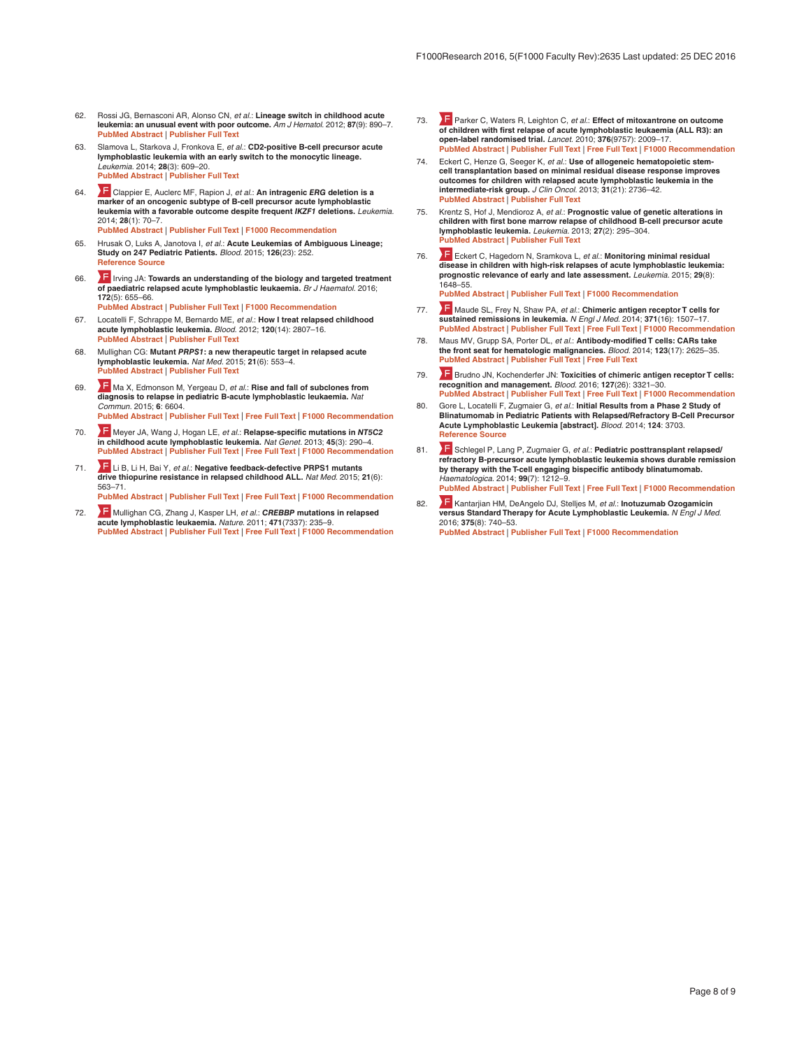- <span id="page-7-0"></span>62. Rossi JG, Bernasconi AR, Alonso CN, *et al.*: **Lineage switch in childhood acute leukemia: an unusual event with poor outcome.** *Am J Hematol.* 2012; **87**(9): 890–7. **[PubMed Abstract](http://www.ncbi.nlm.nih.gov/pubmed/22685031)** | **[Publisher Full Text](http://dx.doi.org/10.1002/ajh.23266)**
- 63. Slamova L, Starkova J, Fronkova E, *et al.*: **CD2-positive B-cell precursor acute lymphoblastic leukemia with an early switch to the monocytic lineage.** *Leukemia.* 2014; **28**(3): 609–20. **[PubMed Abstract](http://www.ncbi.nlm.nih.gov/pubmed/24270736)** | **[Publisher Full Text](http://dx.doi.org/10.1038/leu.2013.354)**
- 64. [C](http://f1000.com/prime/718118822)lappier E, Auclerc MF, Rapion J, *et al.*: **An intragenic** *ERG* **deletion is a marker of an oncogenic subtype of B-cell precursor acute lymphoblastic leukemia with a favorable outcome despite frequent** *IKZF1* **deletions.** *Leukemia.* 2014; **28**(1): 70–7. **[PubMed Abstract](http://www.ncbi.nlm.nih.gov/pubmed/24064621)** | **[Publisher Full Text](http://dx.doi.org/10.1038/leu.2013.277)** | **[F1000 Recommendation](http://f1000.com/prime/718118822)**
- 65. Hrusak O, Luks A, Janotova I, *et al.*: **Acute Leukemias of Ambiguous Lineage; Study on 247 Pediatric Patients.** *Blood.* 2015; **126**(23): 252. **[Reference Source](http://www.bloodjournal.org/content/126/23/252?sso-checked=true)**
- 66. **IF** [I](http://f1000.com/prime/725939482)rving JA: **Towards an understanding of the biology and targeted treatment of paediatric relapsed acute lymphoblastic leukaemia.** *Br J Haematol.* 2016; **172**(5): 655–66.
	- **[PubMed Abstract](http://www.ncbi.nlm.nih.gov/pubmed/26568036)** | **[Publisher Full Text](http://dx.doi.org/10.1111/bjh.13852)** | **[F1000 Recommendation](http://f1000.com/prime/725939482)**
- 67. Locatelli F, Schrappe M, Bernardo ME, *et al.*: **How I treat relapsed childhood acute lymphoblastic leukemia.** *Blood.* 2012; **120**(14): 2807–16. **[PubMed Abstract](http://www.ncbi.nlm.nih.gov/pubmed/22896001)** | **[Publisher Full Text](http://dx.doi.org/10.1182/blood-2012-02-265884)**
- 68. Mullighan CG: **Mutant** *PRPS1***: a new therapeutic target in relapsed acute lymphoblastic leukemia.** *Nat Med.* 2015; **21**(6): 553–4. **[PubMed Abstract](http://www.ncbi.nlm.nih.gov/pubmed/26046573)** | **[Publisher Full Text](http://dx.doi.org/10.1038/nm.3876)**
- 69. [M](http://f1000.com/prime/725395576)a X, Edmonson M, Yergeau D, *et al.*: **Rise and fall of subclones from diagnosis to relapse in pediatric B-acute lymphoblastic leukaemia.** *Nat Commun.* 2015; **6**: 6604. **[PubMed Abstract](http://www.ncbi.nlm.nih.gov/pubmed/25790293)** | **[Publisher Full Text](http://dx.doi.org/10.1038/ncomms7604)** | **[Free Full Text](http://www.ncbi.nlm.nih.gov/pmc/articles/4377644)** | **[F1000 Recommendation](http://f1000.com/prime/725395576)**
- 70. [M](http://f1000.com/prime/717983108)eyer JA, Wang J, Hogan LE, *et al.*: **Relapse-specific mutations in** *NT5C2* **in childhood acute lymphoblastic leukemia.** *Nat Genet.* 2013; **45**(3): 290–4. **[PubMed Abstract](http://www.ncbi.nlm.nih.gov/pubmed/23377183)** | **[Publisher Full Text](http://dx.doi.org/10.1038/ng.2558)** | **[Free Full Text](http://www.ncbi.nlm.nih.gov/pmc/articles/3681285)** | **[F1000 Recommendation](http://f1000.com/prime/717983108)**
- 71. **F** [L](http://f1000.com/prime/725483919)i B, Li H, Bai Y, *et al.*: **Negative feedback-defective PRPS1 mutants drive thiopurine resistance in relapsed childhood ALL.** *Nat Med.* 2015; **21**(6): 563–71. **[PubMed Abstract](http://www.ncbi.nlm.nih.gov/pubmed/25962120)** | **[Publisher Full Text](http://dx.doi.org/10.1038/nm.3840)** | **[Free Full Text](http://www.ncbi.nlm.nih.gov/pmc/articles/4670083)** | **[F1000 Recommendation](http://f1000.com/prime/725483919)**
- 72. [M](http://f1000.com/prime/9343957)ullighan CG, Zhang J, Kasper LH, *et al.*: *CREBBP* **mutations in relapsed acute lymphoblastic leukaemia.** *Nature.* 2011; **471**(7337): 235–9. **[PubMed Abstract](http://www.ncbi.nlm.nih.gov/pubmed/21390130)** | **[Publisher Full Text](http://dx.doi.org/10.1038/nature09727)** | **[Free Full Text](http://www.ncbi.nlm.nih.gov/pmc/articles/3076610)** | **[F1000 Recommendation](http://f1000.com/prime/9343957)**
- 73. [P](http://f1000.com/prime/7823960)arker C, Waters R, Leighton C, *et al.*: **Effect of mitoxantrone on outcome of children with first relapse of acute lymphoblastic leukaemia (ALL R3): an open-label randomised trial.** *Lancet.* 2010; **376**(9757): 2009–17. **[PubMed Abstract](http://www.ncbi.nlm.nih.gov/pubmed/21131038)** | **[Publisher Full Text](http://dx.doi.org/10.1016/S0140-6736(10)62002-8)** | **[Free Full Text](http://www.ncbi.nlm.nih.gov/pmc/articles/3010035)** | **[F1000 Recommendation](http://f1000.com/prime/7823960)**
- Eckert C, Henze G, Seeger K, et al.: Use of allogeneic hematopoietic stem**cell transplantation based on minimal residual disease response improves outcomes for children with relapsed acute lymphoblastic leukemia in the intermediate-risk group.** *J Clin Oncol.* 2013; **31**(21): 2736–42. **[PubMed Abstract](http://www.ncbi.nlm.nih.gov/pubmed/23775972)** | **[Publisher Full Text](http://dx.doi.org/10.1200/JCO.2012.48.5680)**
- 75. Krentz S, Hof J, Mendioroz A, *et al.*: **Prognostic value of genetic alterations in children with first bone marrow relapse of childhood B-cell precursor acute lymphoblastic leukemia.** *Leukemia.* 2013; **27**(2): 295–304. **[PubMed Abstract](http://www.ncbi.nlm.nih.gov/pubmed/22699455)** | **[Publisher Full Text](http://dx.doi.org/10.1038/leu.2012.155)**
- 76. [E](http://f1000.com/prime/725382591)ckert C, Hagedorn N, Sramkova L, *et al.*: **Monitoring minimal residual disease in children with high-risk relapses of acute lymphoblastic leukemia: prognostic relevance of early and late assessment.** *Leukemia.* 2015; **29**(8): 1648–55. **[PubMed Abstract](http://www.ncbi.nlm.nih.gov/pubmed/25748682)** | **[Publisher Full Text](http://dx.doi.org/10.1038/leu.2015.59)** | **[F1000 Recommendation](http://f1000.com/prime/725382591)**
- 77. [M](http://f1000.com/prime/722007528)aude SL, Frey N, Shaw PA, *et al.*: **Chimeric antigen receptor T cells for sustained remissions in leukemia.** *N Engl J Med.* 2014; **371**(16): 1507–17. **[PubMed Abstract](http://www.ncbi.nlm.nih.gov/pubmed/25317870)** | **[Publisher Full Text](http://dx.doi.org/10.1056/NEJMoa1407222)** | **[Free Full Text](http://www.ncbi.nlm.nih.gov/pmc/articles/4267531)** | **[F1000 Recommendation](http://f1000.com/prime/722007528)**
- 78. Maus MV, Grupp SA, Porter DL, *et al.*: **Antibody-modified T cells: CARs take the front seat for hematologic malignancies.** *Blood.* 2014; **123**(17): 2625–35. **[PubMed Abstract](http://www.ncbi.nlm.nih.gov/pubmed/24578504)** | **[Publisher Full Text](http://dx.doi.org/10.1182/blood-2013-11-492231)** | **[Free Full Text](http://www.ncbi.nlm.nih.gov/pmc/articles/3999751)**
- 79. **F** [B](http://f1000.com/prime/726372756)rudno JN, Kochenderfer JN: Toxicities of chimeric antigen receptor T cells: **recognition and management.** *Blood.* 2016; **127**(26): 3321–30. **[PubMed Abstract](http://www.ncbi.nlm.nih.gov/pubmed/27207799)** | **[Publisher Full Text](http://dx.doi.org/10.1182/blood-2016-04-703751)** | **[Free Full Text](http://www.ncbi.nlm.nih.gov/pmc/articles/4929924)** | **[F1000 Recommendation](http://f1000.com/prime/726372756)**
- 80. Gore L, Locatelli F, Zugmaier G, *et al.*: **Initial Results from a Phase 2 Study of Blinatumomab in Pediatric Patients with Relapsed/Refractory B-Cell Precursor Acute Lymphoblastic Leukemia [abstract].** *Blood.* 2014; **124**: 3703. **[Reference Source](http://www.bloodjournal.org/content/124/21/3703?sso-checked=true)**
- 81. **F** [S](http://f1000.com/prime/718349106)chlegel P, Lang P, Zugmaier G, et al.: **Pediatric posttransplant relapsed/ refractory B-precursor acute lymphoblastic leukemia shows durable remission by therapy with the T-cell engaging bispecific antibody blinatumomab.** *Haematologica.* 2014; **99**(7): 1212–9. **[PubMed Abstract](http://www.ncbi.nlm.nih.gov/pubmed/24727818)** | **[Publisher Full Text](http://dx.doi.org/10.3324/haematol.2013.100073)** | **[Free Full Text](http://www.ncbi.nlm.nih.gov/pmc/articles/4077083)** | **[F1000 Recommendation](http://f1000.com/prime/718349106)**
- 82. **Kantarjian HM, DeAngelo DJ, Stelljes M,** *et al.***: <b>Inotuzumab Ozogamicin versus Standard Therapy for Acute Lymphoblastic Leukemia.** *N Engl J Med.* 2016; **375**(8): 740–53. **[PubMed Abstract](http://www.ncbi.nlm.nih.gov/pubmed/27292104)** | **[Publisher Full Text](http://dx.doi.org/10.1056/NEJMoa1509277)** | **[F1000 Recommendation](http://f1000.com/prime/726419915)**